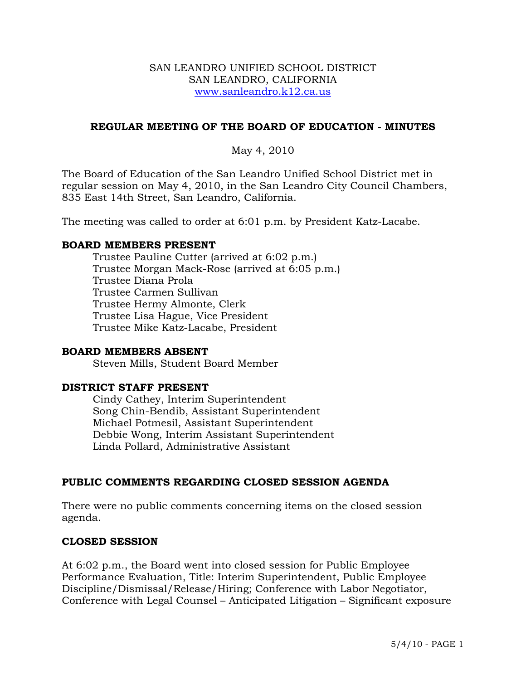### SAN LEANDRO UNIFIED SCHOOL DISTRICT SAN LEANDRO, CALIFORNIA www.sanleandro.k12.ca.us

## **REGULAR MEETING OF THE BOARD OF EDUCATION - MINUTES**

## May 4, 2010

The Board of Education of the San Leandro Unified School District met in regular session on May 4, 2010, in the San Leandro City Council Chambers, 835 East 14th Street, San Leandro, California.

The meeting was called to order at 6:01 p.m. by President Katz-Lacabe.

### **BOARD MEMBERS PRESENT**

Trustee Pauline Cutter (arrived at 6:02 p.m.) Trustee Morgan Mack-Rose (arrived at 6:05 p.m.) Trustee Diana Prola Trustee Carmen Sullivan Trustee Hermy Almonte, Clerk Trustee Lisa Hague, Vice President Trustee Mike Katz-Lacabe, President

### **BOARD MEMBERS ABSENT**

Steven Mills, Student Board Member

## **DISTRICT STAFF PRESENT**

Cindy Cathey, Interim Superintendent Song Chin-Bendib, Assistant Superintendent Michael Potmesil, Assistant Superintendent Debbie Wong, Interim Assistant Superintendent Linda Pollard, Administrative Assistant

### **PUBLIC COMMENTS REGARDING CLOSED SESSION AGENDA**

There were no public comments concerning items on the closed session agenda.

#### **CLOSED SESSION**

At 6:02 p.m., the Board went into closed session for Public Employee Performance Evaluation, Title: Interim Superintendent, Public Employee Discipline/Dismissal/Release/Hiring; Conference with Labor Negotiator, Conference with Legal Counsel – Anticipated Litigation – Significant exposure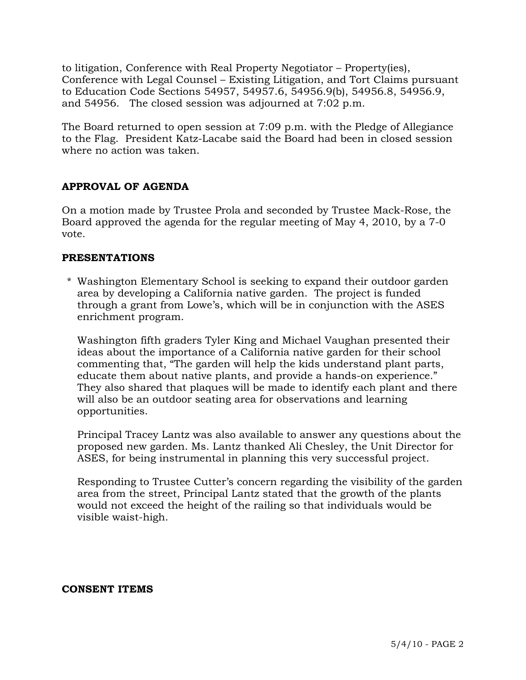to litigation, Conference with Real Property Negotiator – Property(ies), Conference with Legal Counsel – Existing Litigation, and Tort Claims pursuant to Education Code Sections 54957, 54957.6, 54956.9(b), 54956.8, 54956.9, and 54956. The closed session was adjourned at 7:02 p.m.

The Board returned to open session at 7:09 p.m. with the Pledge of Allegiance to the Flag. President Katz-Lacabe said the Board had been in closed session where no action was taken.

# **APPROVAL OF AGENDA**

On a motion made by Trustee Prola and seconded by Trustee Mack-Rose, the Board approved the agenda for the regular meeting of May 4, 2010, by a 7-0 vote.

## **PRESENTATIONS**

\* Washington Elementary School is seeking to expand their outdoor garden area by developing a California native garden. The project is funded through a grant from Lowe's, which will be in conjunction with the ASES enrichment program.

 Washington fifth graders Tyler King and Michael Vaughan presented their ideas about the importance of a California native garden for their school commenting that, "The garden will help the kids understand plant parts, educate them about native plants, and provide a hands-on experience." They also shared that plaques will be made to identify each plant and there will also be an outdoor seating area for observations and learning opportunities.

 Principal Tracey Lantz was also available to answer any questions about the proposed new garden. Ms. Lantz thanked Ali Chesley, the Unit Director for ASES, for being instrumental in planning this very successful project.

 Responding to Trustee Cutter's concern regarding the visibility of the garden area from the street, Principal Lantz stated that the growth of the plants would not exceed the height of the railing so that individuals would be visible waist-high.

### **CONSENT ITEMS**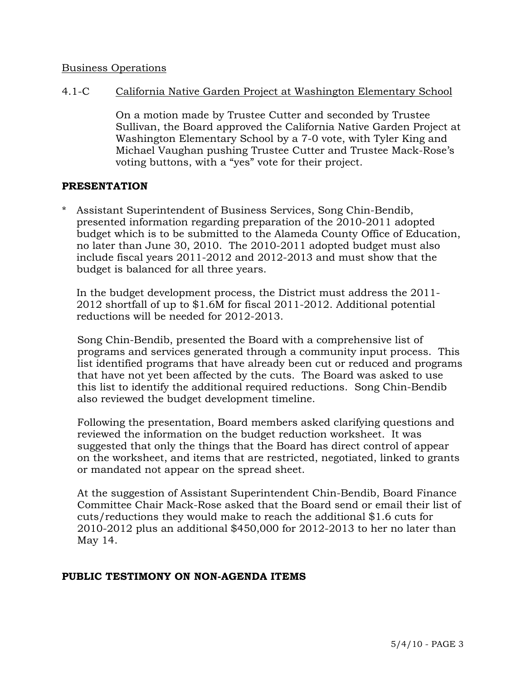### Business Operations

4.1-C California Native Garden Project at Washington Elementary School

On a motion made by Trustee Cutter and seconded by Trustee Sullivan, the Board approved the California Native Garden Project at Washington Elementary School by a 7-0 vote, with Tyler King and Michael Vaughan pushing Trustee Cutter and Trustee Mack-Rose's voting buttons, with a "yes" vote for their project.

### **PRESENTATION**

Assistant Superintendent of Business Services, Song Chin-Bendib, presented information regarding preparation of the 2010-2011 adopted budget which is to be submitted to the Alameda County Office of Education, no later than June 30, 2010. The 2010-2011 adopted budget must also include fiscal years 2011-2012 and 2012-2013 and must show that the budget is balanced for all three years.

 In the budget development process, the District must address the 2011- 2012 shortfall of up to \$1.6M for fiscal 2011-2012. Additional potential reductions will be needed for 2012-2013.

 Song Chin-Bendib, presented the Board with a comprehensive list of programs and services generated through a community input process. This list identified programs that have already been cut or reduced and programs that have not yet been affected by the cuts. The Board was asked to use this list to identify the additional required reductions. Song Chin-Bendib also reviewed the budget development timeline.

 Following the presentation, Board members asked clarifying questions and reviewed the information on the budget reduction worksheet. It was suggested that only the things that the Board has direct control of appear on the worksheet, and items that are restricted, negotiated, linked to grants or mandated not appear on the spread sheet.

 At the suggestion of Assistant Superintendent Chin-Bendib, Board Finance Committee Chair Mack-Rose asked that the Board send or email their list of cuts/reductions they would make to reach the additional \$1.6 cuts for 2010-2012 plus an additional \$450,000 for 2012-2013 to her no later than May 14.

### **PUBLIC TESTIMONY ON NON-AGENDA ITEMS**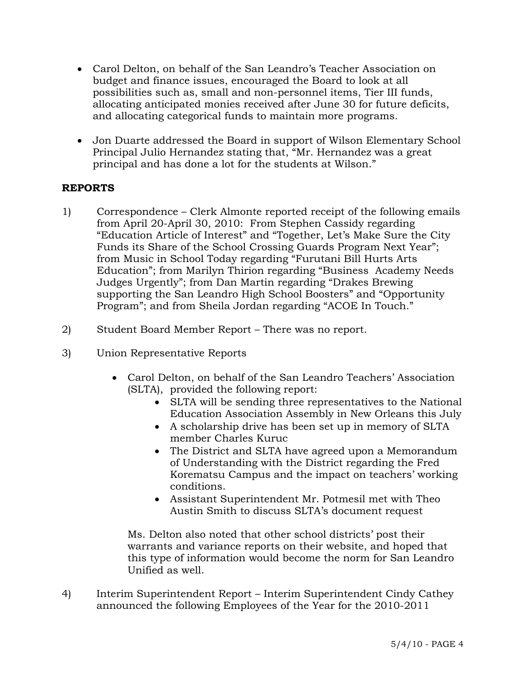- Carol Delton, on behalf of the San Leandro's Teacher Association on budget and finance issues, encouraged the Board to look at all possibilities such as, small and non-personnel items, Tier III funds, allocating anticipated monies received after June 30 for future deficits, and allocating categorical funds to maintain more programs.
- Jon Duarte addressed the Board in support of Wilson Elementary School Principal Julio Hernandez stating that, "Mr. Hernandez was a great principal and has done a lot for the students at Wilson."

## **REPORTS**

- 1) Correspondence Clerk Almonte reported receipt of the following emails from April 20-April 30, 2010: From Stephen Cassidy regarding "Education Article of Interest" and "Together, Let's Make Sure the City Funds its Share of the School Crossing Guards Program Next Year"; from Music in School Today regarding "Furutani Bill Hurts Arts Education"; from Marilyn Thirion regarding "Business Academy Needs Judges Urgently"; from Dan Martin regarding "Drakes Brewing supporting the San Leandro High School Boosters" and "Opportunity Program"; and from Sheila Jordan regarding "ACOE In Touch."
- 2) Student Board Member Report There was no report.
- 3) Union Representative Reports
	- Carol Delton, on behalf of the San Leandro Teachers' Association (SLTA), provided the following report:
		- SLTA will be sending three representatives to the National Education Association Assembly in New Orleans this July
		- A scholarship drive has been set up in memory of SLTA member Charles Kuruc
		- The District and SLTA have agreed upon a Memorandum of Understanding with the District regarding the Fred Korematsu Campus and the impact on teachers' working conditions.
		- Assistant Superintendent Mr. Potmesil met with Theo Austin Smith to discuss SLTA's document request

 Ms. Delton also noted that other school districts' post their warrants and variance reports on their website, and hoped that this type of information would become the norm for San Leandro Unified as well.

4) Interim Superintendent Report – Interim Superintendent Cindy Cathey announced the following Employees of the Year for the 2010-2011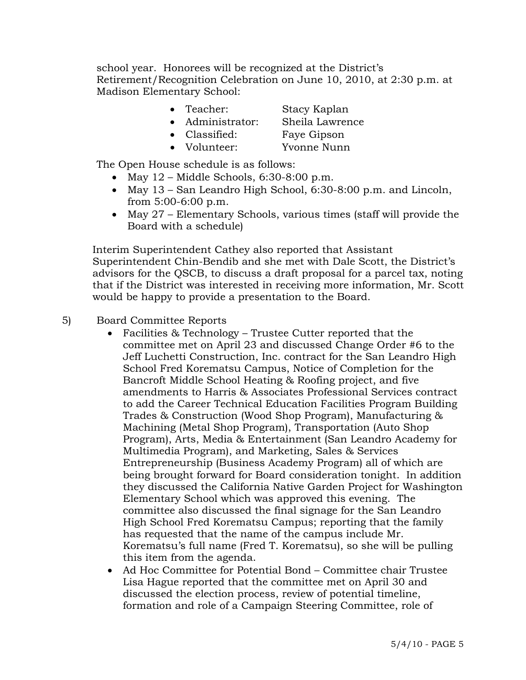school year. Honorees will be recognized at the District's Retirement/Recognition Celebration on June 10, 2010, at 2:30 p.m. at Madison Elementary School:

- Teacher: Stacy Kaplan
- Administrator: Sheila Lawrence
- Classified: Faye Gipson
	-
- Volunteer: Yvonne Nunn

The Open House schedule is as follows:

- May  $12$  Middle Schools, 6:30-8:00 p.m.
- May 13 San Leandro High School, 6:30-8:00 p.m. and Lincoln, from 5:00-6:00 p.m.
- May 27 Elementary Schools, various times (staff will provide the Board with a schedule)

Interim Superintendent Cathey also reported that Assistant Superintendent Chin-Bendib and she met with Dale Scott, the District's advisors for the QSCB, to discuss a draft proposal for a parcel tax, noting that if the District was interested in receiving more information, Mr. Scott would be happy to provide a presentation to the Board.

- 5) Board Committee Reports
	- Facilities & Technology Trustee Cutter reported that the committee met on April 23 and discussed Change Order #6 to the Jeff Luchetti Construction, Inc. contract for the San Leandro High School Fred Korematsu Campus, Notice of Completion for the Bancroft Middle School Heating & Roofing project, and five amendments to Harris & Associates Professional Services contract to add the Career Technical Education Facilities Program Building Trades & Construction (Wood Shop Program), Manufacturing & Machining (Metal Shop Program), Transportation (Auto Shop Program), Arts, Media & Entertainment (San Leandro Academy for Multimedia Program), and Marketing, Sales & Services Entrepreneurship (Business Academy Program) all of which are being brought forward for Board consideration tonight. In addition they discussed the California Native Garden Project for Washington Elementary School which was approved this evening. The committee also discussed the final signage for the San Leandro High School Fred Korematsu Campus; reporting that the family has requested that the name of the campus include Mr. Korematsu's full name (Fred T. Korematsu), so she will be pulling this item from the agenda.
	- Ad Hoc Committee for Potential Bond Committee chair Trustee Lisa Hague reported that the committee met on April 30 and discussed the election process, review of potential timeline, formation and role of a Campaign Steering Committee, role of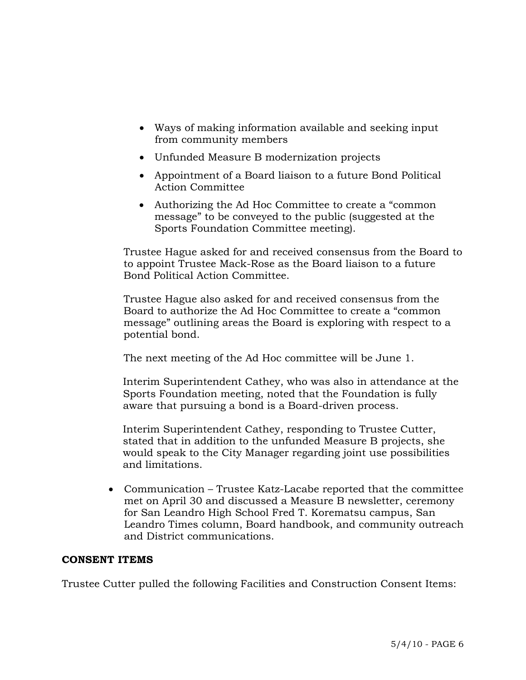- Ways of making information available and seeking input from community members
- Unfunded Measure B modernization projects
- Appointment of a Board liaison to a future Bond Political Action Committee
- Authorizing the Ad Hoc Committee to create a "common" message" to be conveyed to the public (suggested at the Sports Foundation Committee meeting).

Trustee Hague asked for and received consensus from the Board to to appoint Trustee Mack-Rose as the Board liaison to a future Bond Political Action Committee.

 Trustee Hague also asked for and received consensus from the Board to authorize the Ad Hoc Committee to create a "common message" outlining areas the Board is exploring with respect to a potential bond.

The next meeting of the Ad Hoc committee will be June 1.

 Interim Superintendent Cathey, who was also in attendance at the Sports Foundation meeting, noted that the Foundation is fully aware that pursuing a bond is a Board-driven process.

Interim Superintendent Cathey, responding to Trustee Cutter, stated that in addition to the unfunded Measure B projects, she would speak to the City Manager regarding joint use possibilities and limitations.

 Communication – Trustee Katz-Lacabe reported that the committee met on April 30 and discussed a Measure B newsletter, ceremony for San Leandro High School Fred T. Korematsu campus, San Leandro Times column, Board handbook, and community outreach and District communications.

## **CONSENT ITEMS**

Trustee Cutter pulled the following Facilities and Construction Consent Items: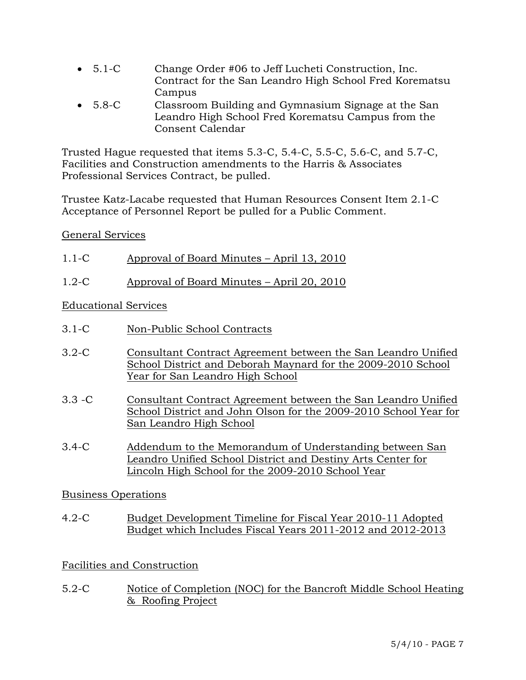- 5.1-C Change Order #06 to Jeff Lucheti Construction, Inc. Contract for the San Leandro High School Fred Korematsu Campus
- 5.8-C Classroom Building and Gymnasium Signage at the San Leandro High School Fred Korematsu Campus from the Consent Calendar

Trusted Hague requested that items 5.3-C, 5.4-C, 5.5-C, 5.6-C, and 5.7-C, Facilities and Construction amendments to the Harris & Associates Professional Services Contract, be pulled.

Trustee Katz-Lacabe requested that Human Resources Consent Item 2.1-C Acceptance of Personnel Report be pulled for a Public Comment.

## General Services

| $1.1-C$ | Approval of Board Minutes – April 13, 2010 |
|---------|--------------------------------------------|
|         |                                            |

1.2-C Approval of Board Minutes – April 20, 2010

# Educational Services

- 3.1-C Non-Public School Contracts
- 3.2-C Consultant Contract Agreement between the San Leandro Unified School District and Deborah Maynard for the 2009-2010 School Year for San Leandro High School
- 3.3 -C Consultant Contract Agreement between the San Leandro Unified School District and John Olson for the 2009-2010 School Year for San Leandro High School
- 3.4-C Addendum to the Memorandum of Understanding between San Leandro Unified School District and Destiny Arts Center for Lincoln High School for the 2009-2010 School Year

## Business Operations

4.2-C Budget Development Timeline for Fiscal Year 2010-11 Adopted Budget which Includes Fiscal Years 2011-2012 and 2012-2013

# Facilities and Construction

5.2-C Notice of Completion (NOC) for the Bancroft Middle School Heating & Roofing Project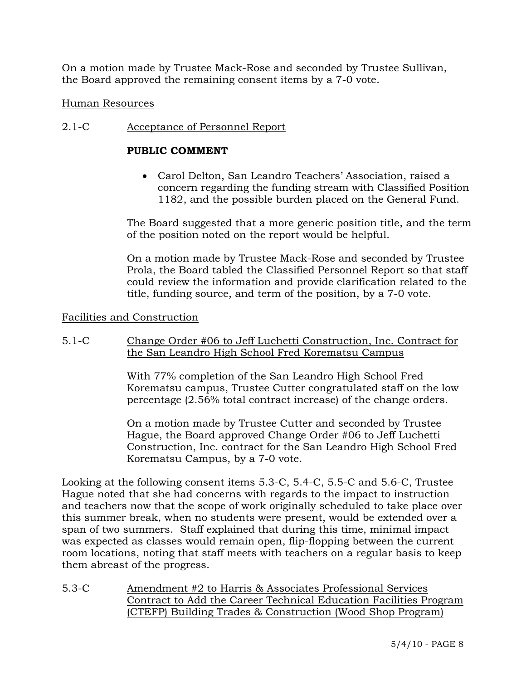On a motion made by Trustee Mack-Rose and seconded by Trustee Sullivan, the Board approved the remaining consent items by a 7-0 vote.

## Human Resources

## 2.1-C Acceptance of Personnel Report

## **PUBLIC COMMENT**

 Carol Delton, San Leandro Teachers' Association, raised a concern regarding the funding stream with Classified Position 1182, and the possible burden placed on the General Fund.

The Board suggested that a more generic position title, and the term of the position noted on the report would be helpful.

On a motion made by Trustee Mack-Rose and seconded by Trustee Prola, the Board tabled the Classified Personnel Report so that staff could review the information and provide clarification related to the title, funding source, and term of the position, by a 7-0 vote.

### Facilities and Construction

5.1-C Change Order #06 to Jeff Luchetti Construction, Inc. Contract for the San Leandro High School Fred Korematsu Campus

> With 77% completion of the San Leandro High School Fred Korematsu campus, Trustee Cutter congratulated staff on the low percentage (2.56% total contract increase) of the change orders.

> On a motion made by Trustee Cutter and seconded by Trustee Hague, the Board approved Change Order #06 to Jeff Luchetti Construction, Inc. contract for the San Leandro High School Fred Korematsu Campus, by a 7-0 vote.

Looking at the following consent items 5.3-C, 5.4-C, 5.5-C and 5.6-C, Trustee Hague noted that she had concerns with regards to the impact to instruction and teachers now that the scope of work originally scheduled to take place over this summer break, when no students were present, would be extended over a span of two summers. Staff explained that during this time, minimal impact was expected as classes would remain open, flip-flopping between the current room locations, noting that staff meets with teachers on a regular basis to keep them abreast of the progress.

5.3-C Amendment #2 to Harris & Associates Professional Services Contract to Add the Career Technical Education Facilities Program (CTEFP) Building Trades & Construction (Wood Shop Program)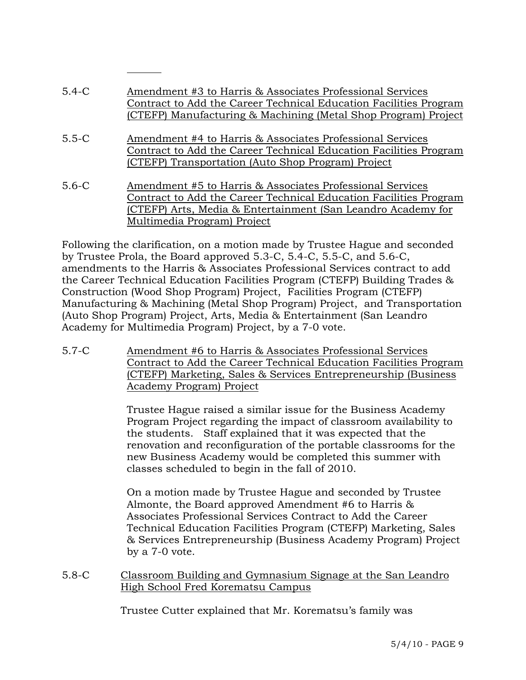| $5.4-C$   | Amendment #3 to Harris & Associates Professional Services         |
|-----------|-------------------------------------------------------------------|
|           | Contract to Add the Career Technical Education Facilities Program |
|           | (CTEFP) Manufacturing & Machining (Metal Shop Program) Project    |
|           |                                                                   |
| $5.5 - C$ | Amendment #4 to Harris & Associates Professional Services         |
|           | Contract to Add the Career Technical Education Facilities Program |
|           | (CTEFP) Transportation (Auto Shop Program) Project                |
|           |                                                                   |
| $5.6 - C$ | Amendment #5 to Harris & Associates Professional Services         |
|           | Contract to Add the Career Technical Education Facilities Program |
|           | (CTEFP) Arts, Media & Entertainment (San Leandro Academy for      |
|           | Multimedia Program) Project                                       |

Following the clarification, on a motion made by Trustee Hague and seconded by Trustee Prola, the Board approved 5.3-C, 5.4-C, 5.5-C, and 5.6-C, amendments to the Harris & Associates Professional Services contract to add the Career Technical Education Facilities Program (CTEFP) Building Trades & Construction (Wood Shop Program) Project, Facilities Program (CTEFP) Manufacturing & Machining (Metal Shop Program) Project, and Transportation (Auto Shop Program) Project, Arts, Media & Entertainment (San Leandro Academy for Multimedia Program) Project, by a 7-0 vote.

5.7-C Amendment #6 to Harris & Associates Professional Services Contract to Add the Career Technical Education Facilities Program (CTEFP) Marketing, Sales & Services Entrepreneurship (Business Academy Program) Project

> Trustee Hague raised a similar issue for the Business Academy Program Project regarding the impact of classroom availability to the students. Staff explained that it was expected that the renovation and reconfiguration of the portable classrooms for the new Business Academy would be completed this summer with classes scheduled to begin in the fall of 2010.

On a motion made by Trustee Hague and seconded by Trustee Almonte, the Board approved Amendment #6 to Harris & Associates Professional Services Contract to Add the Career Technical Education Facilities Program (CTEFP) Marketing, Sales & Services Entrepreneurship (Business Academy Program) Project by a 7-0 vote.

5.8-C Classroom Building and Gymnasium Signage at the San Leandro High School Fred Korematsu Campus

Trustee Cutter explained that Mr. Korematsu's family was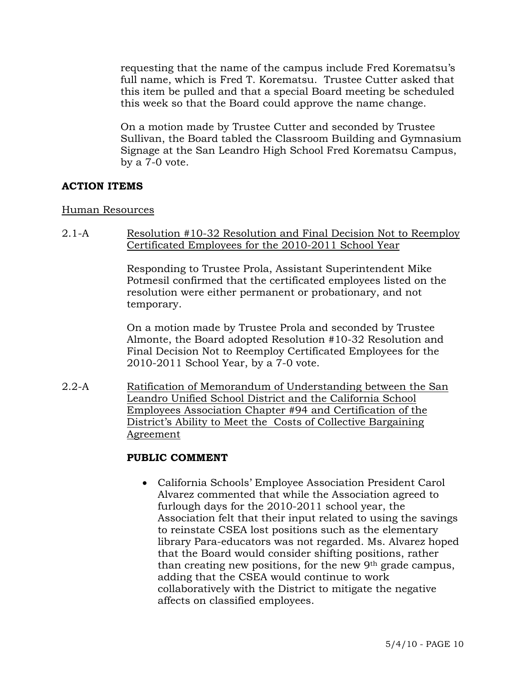requesting that the name of the campus include Fred Korematsu's full name, which is Fred T. Korematsu. Trustee Cutter asked that this item be pulled and that a special Board meeting be scheduled this week so that the Board could approve the name change.

On a motion made by Trustee Cutter and seconded by Trustee Sullivan, the Board tabled the Classroom Building and Gymnasium Signage at the San Leandro High School Fred Korematsu Campus, by a 7-0 vote.

## **ACTION ITEMS**

#### Human Resources

2.1-A Resolution #10-32 Resolution and Final Decision Not to Reemploy Certificated Employees for the 2010-2011 School Year

> Responding to Trustee Prola, Assistant Superintendent Mike Potmesil confirmed that the certificated employees listed on the resolution were either permanent or probationary, and not temporary.

> On a motion made by Trustee Prola and seconded by Trustee Almonte, the Board adopted Resolution #10-32 Resolution and Final Decision Not to Reemploy Certificated Employees for the 2010-2011 School Year, by a 7-0 vote.

2.2-A Ratification of Memorandum of Understanding between the San Leandro Unified School District and the California School Employees Association Chapter #94 and Certification of the District's Ability to Meet the Costs of Collective Bargaining Agreement

### **PUBLIC COMMENT**

 California Schools' Employee Association President Carol Alvarez commented that while the Association agreed to furlough days for the 2010-2011 school year, the Association felt that their input related to using the savings to reinstate CSEA lost positions such as the elementary library Para-educators was not regarded. Ms. Alvarez hoped that the Board would consider shifting positions, rather than creating new positions, for the new 9th grade campus, adding that the CSEA would continue to work collaboratively with the District to mitigate the negative affects on classified employees.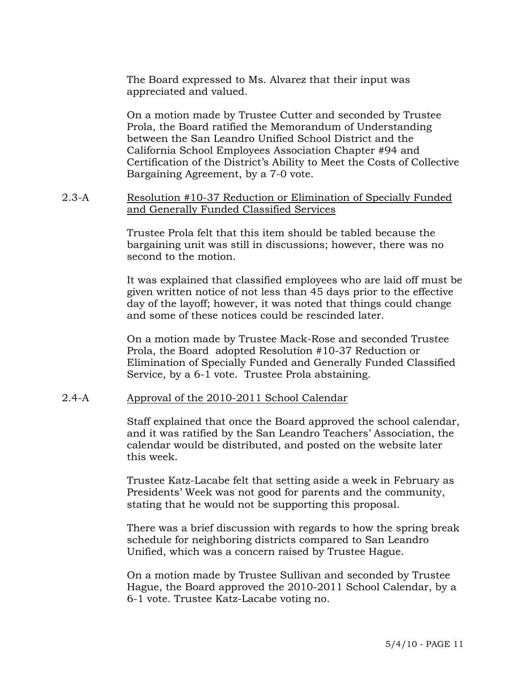The Board expressed to Ms. Alvarez that their input was appreciated and valued.

On a motion made by Trustee Cutter and seconded by Trustee Prola, the Board ratified the Memorandum of Understanding between the San Leandro Unified School District and the California School Employees Association Chapter #94 and Certification of the District's Ability to Meet the Costs of Collective Bargaining Agreement, by a 7-0 vote.

#### 2.3-A Resolution #10-37 Reduction or Elimination of Specially Funded and Generally Funded Classified Services

Trustee Prola felt that this item should be tabled because the bargaining unit was still in discussions; however, there was no second to the motion.

It was explained that classified employees who are laid off must be given written notice of not less than 45 days prior to the effective day of the layoff; however, it was noted that things could change and some of these notices could be rescinded later.

On a motion made by Trustee Mack-Rose and seconded Trustee Prola, the Board adopted Resolution #10-37 Reduction or Elimination of Specially Funded and Generally Funded Classified Service, by a 6-1 vote. Trustee Prola abstaining.

#### 2.4-A Approval of the 2010-2011 School Calendar

Staff explained that once the Board approved the school calendar, and it was ratified by the San Leandro Teachers' Association, the calendar would be distributed, and posted on the website later this week.

Trustee Katz-Lacabe felt that setting aside a week in February as Presidents' Week was not good for parents and the community, stating that he would not be supporting this proposal.

There was a brief discussion with regards to how the spring break schedule for neighboring districts compared to San Leandro Unified, which was a concern raised by Trustee Hague.

On a motion made by Trustee Sullivan and seconded by Trustee Hague, the Board approved the 2010-2011 School Calendar, by a 6-1 vote. Trustee Katz-Lacabe voting no.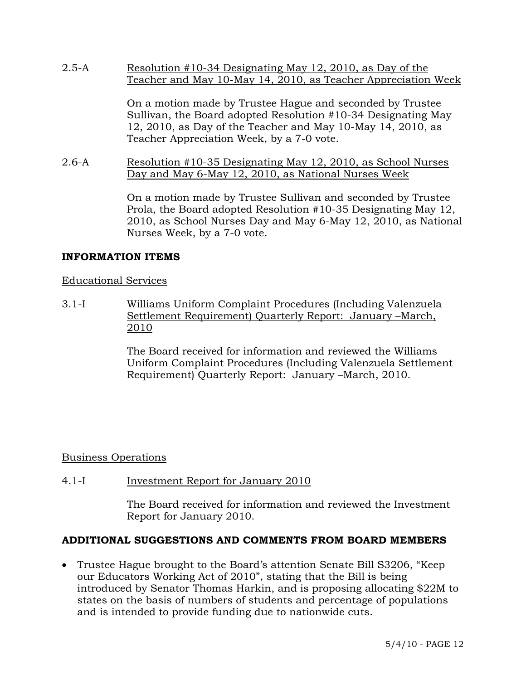2.5-A Resolution #10-34 Designating May 12, 2010, as Day of the Teacher and May 10-May 14, 2010, as Teacher Appreciation Week

> On a motion made by Trustee Hague and seconded by Trustee Sullivan, the Board adopted Resolution #10-34 Designating May 12, 2010, as Day of the Teacher and May 10-May 14, 2010, as Teacher Appreciation Week, by a 7-0 vote.

2.6-A Resolution #10-35 Designating May 12, 2010, as School Nurses Day and May 6-May 12, 2010, as National Nurses Week

> On a motion made by Trustee Sullivan and seconded by Trustee Prola, the Board adopted Resolution #10-35 Designating May 12, 2010, as School Nurses Day and May 6-May 12, 2010, as National Nurses Week, by a 7-0 vote.

## **INFORMATION ITEMS**

## Educational Services

3.1-I Williams Uniform Complaint Procedures (Including Valenzuela Settlement Requirement) Quarterly Report: January –March, 2010

> The Board received for information and reviewed the Williams Uniform Complaint Procedures (Including Valenzuela Settlement Requirement) Quarterly Report: January –March, 2010.

## Business Operations

## 4.1-I Investment Report for January 2010

The Board received for information and reviewed the Investment Report for January 2010.

### **ADDITIONAL SUGGESTIONS AND COMMENTS FROM BOARD MEMBERS**

 Trustee Hague brought to the Board's attention Senate Bill S3206, "Keep our Educators Working Act of 2010", stating that the Bill is being introduced by Senator Thomas Harkin, and is proposing allocating \$22M to states on the basis of numbers of students and percentage of populations and is intended to provide funding due to nationwide cuts.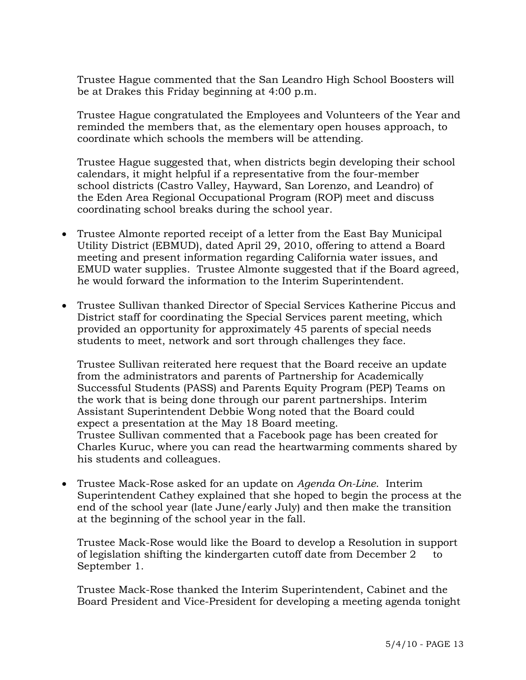Trustee Hague commented that the San Leandro High School Boosters will be at Drakes this Friday beginning at 4:00 p.m.

 Trustee Hague congratulated the Employees and Volunteers of the Year and reminded the members that, as the elementary open houses approach, to coordinate which schools the members will be attending.

 Trustee Hague suggested that, when districts begin developing their school calendars, it might helpful if a representative from the four-member school districts (Castro Valley, Hayward, San Lorenzo, and Leandro) of the Eden Area Regional Occupational Program (ROP) meet and discuss coordinating school breaks during the school year.

- Trustee Almonte reported receipt of a letter from the East Bay Municipal Utility District (EBMUD), dated April 29, 2010, offering to attend a Board meeting and present information regarding California water issues, and EMUD water supplies. Trustee Almonte suggested that if the Board agreed, he would forward the information to the Interim Superintendent.
- Trustee Sullivan thanked Director of Special Services Katherine Piccus and District staff for coordinating the Special Services parent meeting, which provided an opportunity for approximately 45 parents of special needs students to meet, network and sort through challenges they face.

 Trustee Sullivan reiterated here request that the Board receive an update from the administrators and parents of Partnership for Academically Successful Students (PASS) and Parents Equity Program (PEP) Teams on the work that is being done through our parent partnerships. Interim Assistant Superintendent Debbie Wong noted that the Board could expect a presentation at the May 18 Board meeting. Trustee Sullivan commented that a Facebook page has been created for Charles Kuruc, where you can read the heartwarming comments shared by his students and colleagues.

 Trustee Mack-Rose asked for an update on *Agenda On-Line*. Interim Superintendent Cathey explained that she hoped to begin the process at the end of the school year (late June/early July) and then make the transition at the beginning of the school year in the fall.

 Trustee Mack-Rose would like the Board to develop a Resolution in support of legislation shifting the kindergarten cutoff date from December 2 to September 1.

 Trustee Mack-Rose thanked the Interim Superintendent, Cabinet and the Board President and Vice-President for developing a meeting agenda tonight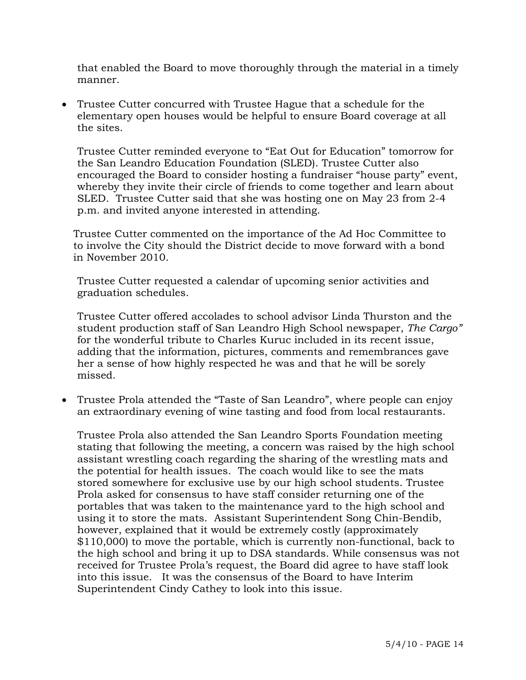that enabled the Board to move thoroughly through the material in a timely manner.

 Trustee Cutter concurred with Trustee Hague that a schedule for the elementary open houses would be helpful to ensure Board coverage at all the sites.

 Trustee Cutter reminded everyone to "Eat Out for Education" tomorrow for the San Leandro Education Foundation (SLED). Trustee Cutter also encouraged the Board to consider hosting a fundraiser "house party" event, whereby they invite their circle of friends to come together and learn about SLED. Trustee Cutter said that she was hosting one on May 23 from 2-4 p.m. and invited anyone interested in attending.

 Trustee Cutter commented on the importance of the Ad Hoc Committee to to involve the City should the District decide to move forward with a bond in November 2010.

 Trustee Cutter requested a calendar of upcoming senior activities and graduation schedules.

 Trustee Cutter offered accolades to school advisor Linda Thurston and the student production staff of San Leandro High School newspaper, *The Cargo"*  for the wonderful tribute to Charles Kuruc included in its recent issue, adding that the information, pictures, comments and remembrances gave her a sense of how highly respected he was and that he will be sorely missed.

 Trustee Prola attended the "Taste of San Leandro", where people can enjoy an extraordinary evening of wine tasting and food from local restaurants.

 Trustee Prola also attended the San Leandro Sports Foundation meeting stating that following the meeting, a concern was raised by the high school assistant wrestling coach regarding the sharing of the wrestling mats and the potential for health issues. The coach would like to see the mats stored somewhere for exclusive use by our high school students. Trustee Prola asked for consensus to have staff consider returning one of the portables that was taken to the maintenance yard to the high school and using it to store the mats. Assistant Superintendent Song Chin-Bendib, however, explained that it would be extremely costly (approximately \$110,000) to move the portable, which is currently non-functional, back to the high school and bring it up to DSA standards. While consensus was not received for Trustee Prola's request, the Board did agree to have staff look into this issue. It was the consensus of the Board to have Interim Superintendent Cindy Cathey to look into this issue.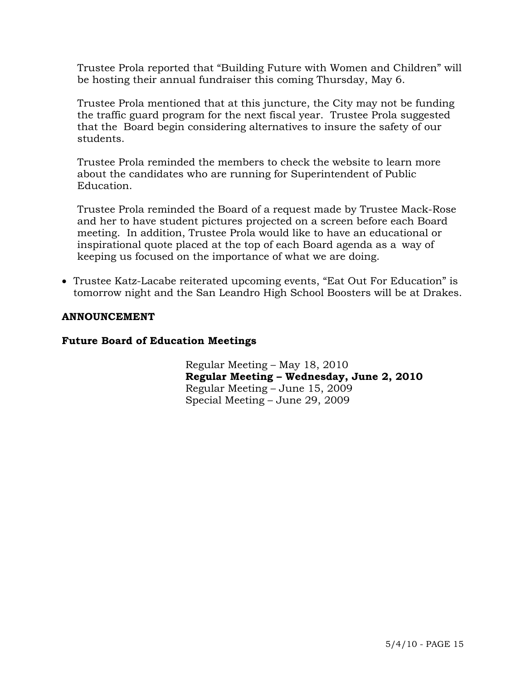Trustee Prola reported that "Building Future with Women and Children" will be hosting their annual fundraiser this coming Thursday, May 6.

 Trustee Prola mentioned that at this juncture, the City may not be funding the traffic guard program for the next fiscal year. Trustee Prola suggested that the Board begin considering alternatives to insure the safety of our students.

 Trustee Prola reminded the members to check the website to learn more about the candidates who are running for Superintendent of Public Education.

 Trustee Prola reminded the Board of a request made by Trustee Mack-Rose and her to have student pictures projected on a screen before each Board meeting. In addition, Trustee Prola would like to have an educational or inspirational quote placed at the top of each Board agenda as a way of keeping us focused on the importance of what we are doing.

 Trustee Katz-Lacabe reiterated upcoming events, "Eat Out For Education" is tomorrow night and the San Leandro High School Boosters will be at Drakes.

## **ANNOUNCEMENT**

### **Future Board of Education Meetings**

Regular Meeting – May 18, 2010 **Regular Meeting – Wednesday, June 2, 2010**  Regular Meeting – June 15, 2009 Special Meeting – June 29, 2009